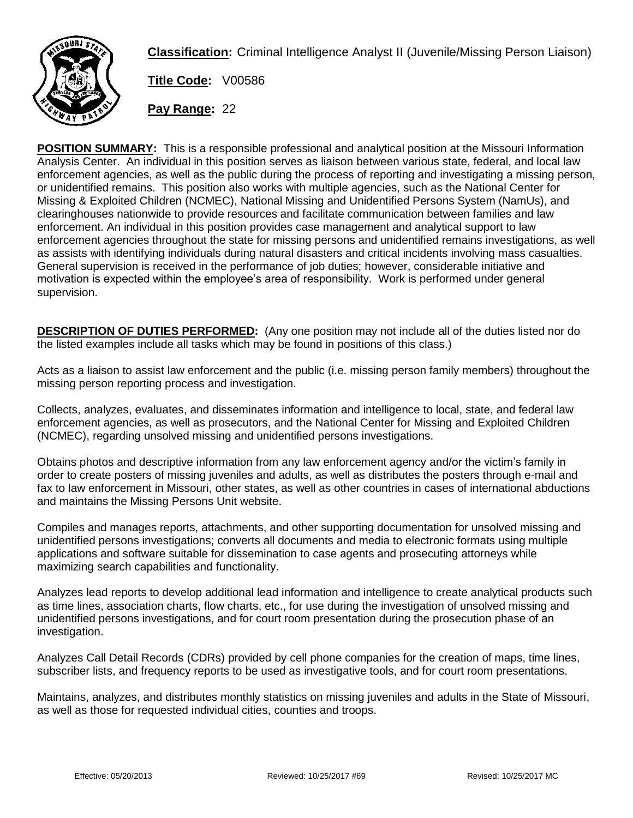

**Classification:** Criminal Intelligence Analyst II (Juvenile/Missing Person Liaison)

**Title Code:** V00586

**Pay Range:** 22

**POSITION SUMMARY:** This is a responsible professional and analytical position at the Missouri Information Analysis Center. An individual in this position serves as liaison between various state, federal, and local law enforcement agencies, as well as the public during the process of reporting and investigating a missing person, or unidentified remains. This position also works with multiple agencies, such as the National Center for Missing & Exploited Children (NCMEC), National Missing and Unidentified Persons System (NamUs), and clearinghouses nationwide to provide resources and facilitate communication between families and law enforcement. An individual in this position provides case management and analytical support to law enforcement agencies throughout the state for missing persons and unidentified remains investigations, as well as assists with identifying individuals during natural disasters and critical incidents involving mass casualties. General supervision is received in the performance of job duties; however, considerable initiative and motivation is expected within the employee's area of responsibility. Work is performed under general supervision.

**DESCRIPTION OF DUTIES PERFORMED:** (Any one position may not include all of the duties listed nor do the listed examples include all tasks which may be found in positions of this class.)

Acts as a liaison to assist law enforcement and the public (i.e. missing person family members) throughout the missing person reporting process and investigation.

Collects, analyzes, evaluates, and disseminates information and intelligence to local, state, and federal law enforcement agencies, as well as prosecutors, and the National Center for Missing and Exploited Children (NCMEC), regarding unsolved missing and unidentified persons investigations.

Obtains photos and descriptive information from any law enforcement agency and/or the victim's family in order to create posters of missing juveniles and adults, as well as distributes the posters through e-mail and fax to law enforcement in Missouri, other states, as well as other countries in cases of international abductions and maintains the Missing Persons Unit website.

Compiles and manages reports, attachments, and other supporting documentation for unsolved missing and unidentified persons investigations; converts all documents and media to electronic formats using multiple applications and software suitable for dissemination to case agents and prosecuting attorneys while maximizing search capabilities and functionality.

Analyzes lead reports to develop additional lead information and intelligence to create analytical products such as time lines, association charts, flow charts, etc., for use during the investigation of unsolved missing and unidentified persons investigations, and for court room presentation during the prosecution phase of an investigation.

Analyzes Call Detail Records (CDRs) provided by cell phone companies for the creation of maps, time lines, subscriber lists, and frequency reports to be used as investigative tools, and for court room presentations.

Maintains, analyzes, and distributes monthly statistics on missing juveniles and adults in the State of Missouri, as well as those for requested individual cities, counties and troops.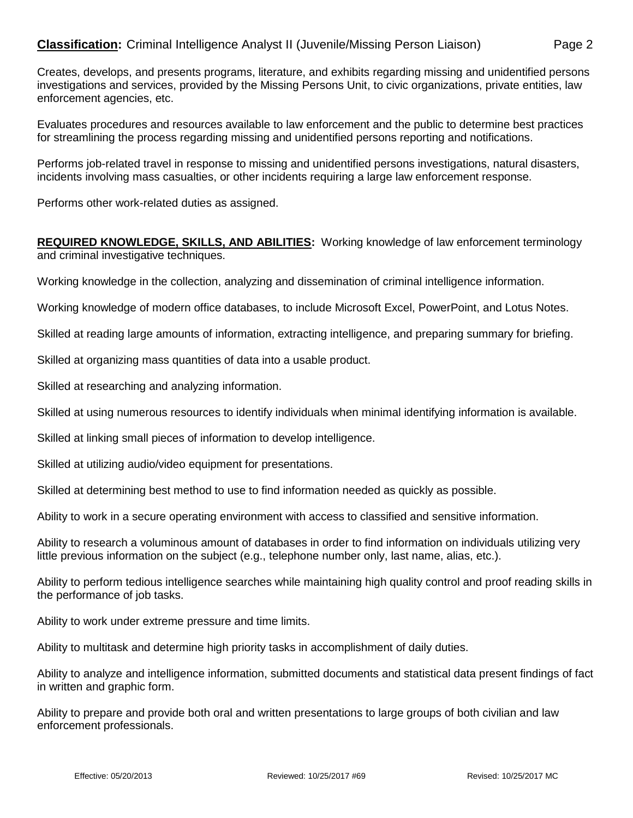## **Classification:** Criminal Intelligence Analyst II (Juvenile/Missing Person Liaison) Page 2

Creates, develops, and presents programs, literature, and exhibits regarding missing and unidentified persons investigations and services, provided by the Missing Persons Unit, to civic organizations, private entities, law enforcement agencies, etc.

Evaluates procedures and resources available to law enforcement and the public to determine best practices for streamlining the process regarding missing and unidentified persons reporting and notifications.

Performs job-related travel in response to missing and unidentified persons investigations, natural disasters, incidents involving mass casualties, or other incidents requiring a large law enforcement response.

Performs other work-related duties as assigned.

## **REQUIRED KNOWLEDGE, SKILLS, AND ABILITIES:** Working knowledge of law enforcement terminology and criminal investigative techniques.

Working knowledge in the collection, analyzing and dissemination of criminal intelligence information.

Working knowledge of modern office databases, to include Microsoft Excel, PowerPoint, and Lotus Notes.

Skilled at reading large amounts of information, extracting intelligence, and preparing summary for briefing.

Skilled at organizing mass quantities of data into a usable product.

Skilled at researching and analyzing information.

Skilled at using numerous resources to identify individuals when minimal identifying information is available.

Skilled at linking small pieces of information to develop intelligence.

Skilled at utilizing audio/video equipment for presentations.

Skilled at determining best method to use to find information needed as quickly as possible.

Ability to work in a secure operating environment with access to classified and sensitive information.

Ability to research a voluminous amount of databases in order to find information on individuals utilizing very little previous information on the subject (e.g., telephone number only, last name, alias, etc.).

Ability to perform tedious intelligence searches while maintaining high quality control and proof reading skills in the performance of job tasks.

Ability to work under extreme pressure and time limits.

Ability to multitask and determine high priority tasks in accomplishment of daily duties.

Ability to analyze and intelligence information, submitted documents and statistical data present findings of fact in written and graphic form.

Ability to prepare and provide both oral and written presentations to large groups of both civilian and law enforcement professionals.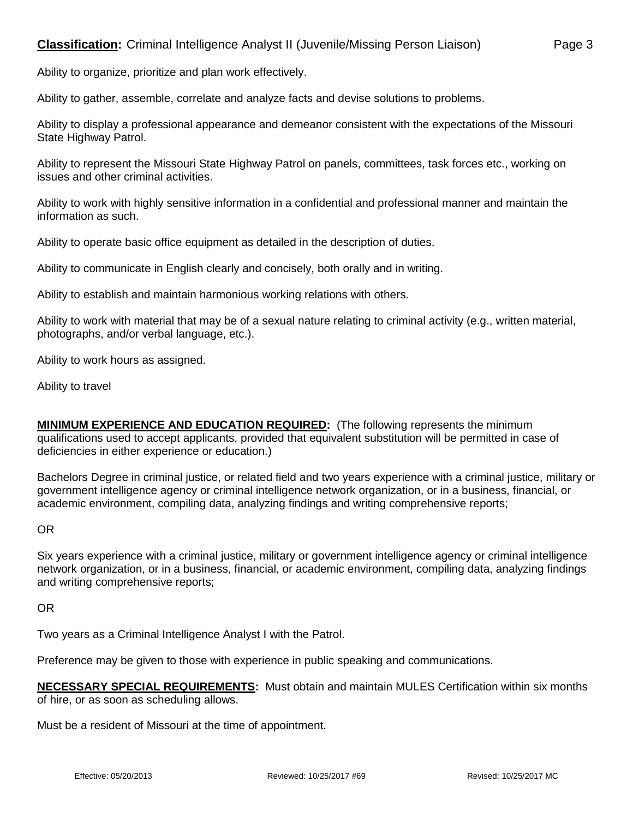Ability to gather, assemble, correlate and analyze facts and devise solutions to problems.

Ability to display a professional appearance and demeanor consistent with the expectations of the Missouri State Highway Patrol.

Ability to represent the Missouri State Highway Patrol on panels, committees, task forces etc., working on issues and other criminal activities.

Ability to work with highly sensitive information in a confidential and professional manner and maintain the information as such.

Ability to operate basic office equipment as detailed in the description of duties.

Ability to communicate in English clearly and concisely, both orally and in writing.

Ability to establish and maintain harmonious working relations with others.

Ability to work with material that may be of a sexual nature relating to criminal activity (e.g., written material, photographs, and/or verbal language, etc.).

Ability to work hours as assigned.

Ability to travel

**MINIMUM EXPERIENCE AND EDUCATION REQUIRED:** (The following represents the minimum qualifications used to accept applicants, provided that equivalent substitution will be permitted in case of deficiencies in either experience or education.)

Bachelors Degree in criminal justice, or related field and two years experience with a criminal justice, military or government intelligence agency or criminal intelligence network organization, or in a business, financial, or academic environment, compiling data, analyzing findings and writing comprehensive reports;

OR

Six years experience with a criminal justice, military or government intelligence agency or criminal intelligence network organization, or in a business, financial, or academic environment, compiling data, analyzing findings and writing comprehensive reports;

OR

Two years as a Criminal Intelligence Analyst I with the Patrol.

Preference may be given to those with experience in public speaking and communications.

**NECESSARY SPECIAL REQUIREMENTS:** Must obtain and maintain MULES Certification within six months of hire, or as soon as scheduling allows.

Must be a resident of Missouri at the time of appointment.